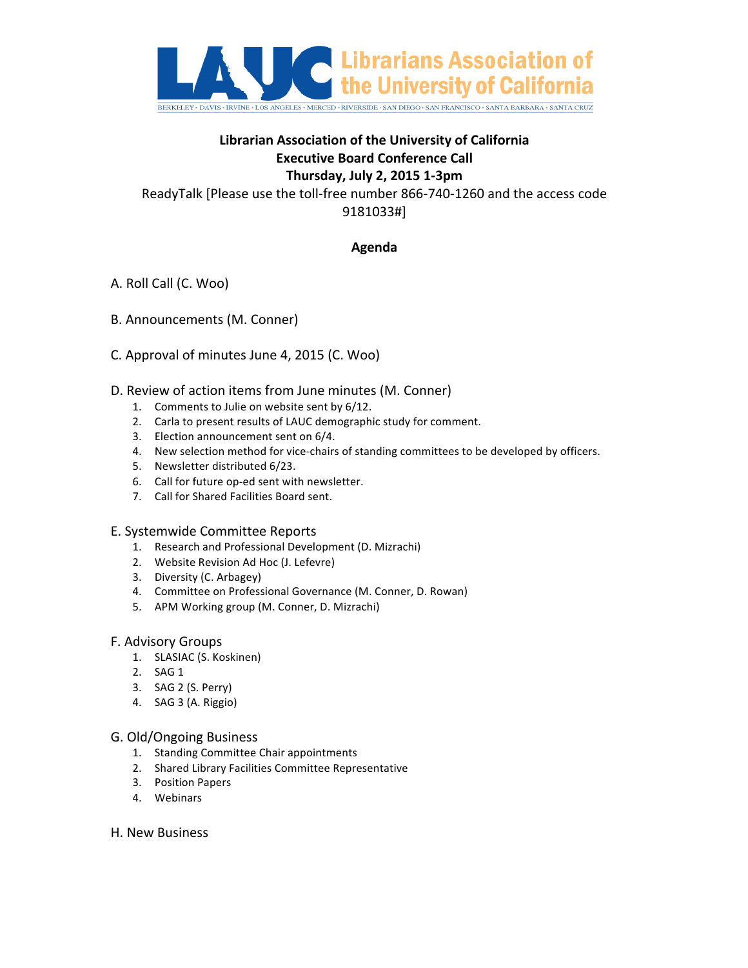

# **Librarian Association of the University of California Executive Board Conference Call Thursday, 
July 
2, 
2015 1-‐3pm**

ReadyTalk [Please use the toll-free number 866-740-1260 and the access code 9181033#]

## **Agenda**

- A. Roll Call (C. Woo)
- B. Announcements (M. Conner)
- C. Approval of minutes June 4, 2015 (C. Woo)
- D. Review of action items from June minutes (M. Conner)
	- 1. Comments to Julie on website sent by  $6/12$ .
	- 2. Carla to present results of LAUC demographic study for comment.
	- 3. Election announcement sent on 6/4.
	- 4. New selection method for vice-chairs of standing committees to be developed by officers.
	- 5. Newsletter distributed 6/23.
	- 6. Call for future op-ed sent with newsletter.
	- 7. Call for Shared Facilities Board sent.

### E. Systemwide Committee Reports

- 1. Research and Professional Development (D. Mizrachi)
- 2. Website Revision Ad Hoc (J. Lefevre)
- 3. Diversity (C. Arbagey)
- 4. Committee on Professional Governance (M. Conner, D. Rowan)
- 5. APM Working group (M. Conner, D. Mizrachi)

### **F. Advisory Groups**

- 1. SLASIAC (S. Koskinen)
- 2. SAG 1
- 3. SAG 2 (S. Perry)
- 4. SAG 3 (A. Riggio)

### G. Old/Ongoing Business

- 1. Standing Committee Chair appointments
- 2. Shared Library Facilities Committee Representative
- 3. Position Papers
- 4. Webinars

#### H. New Business